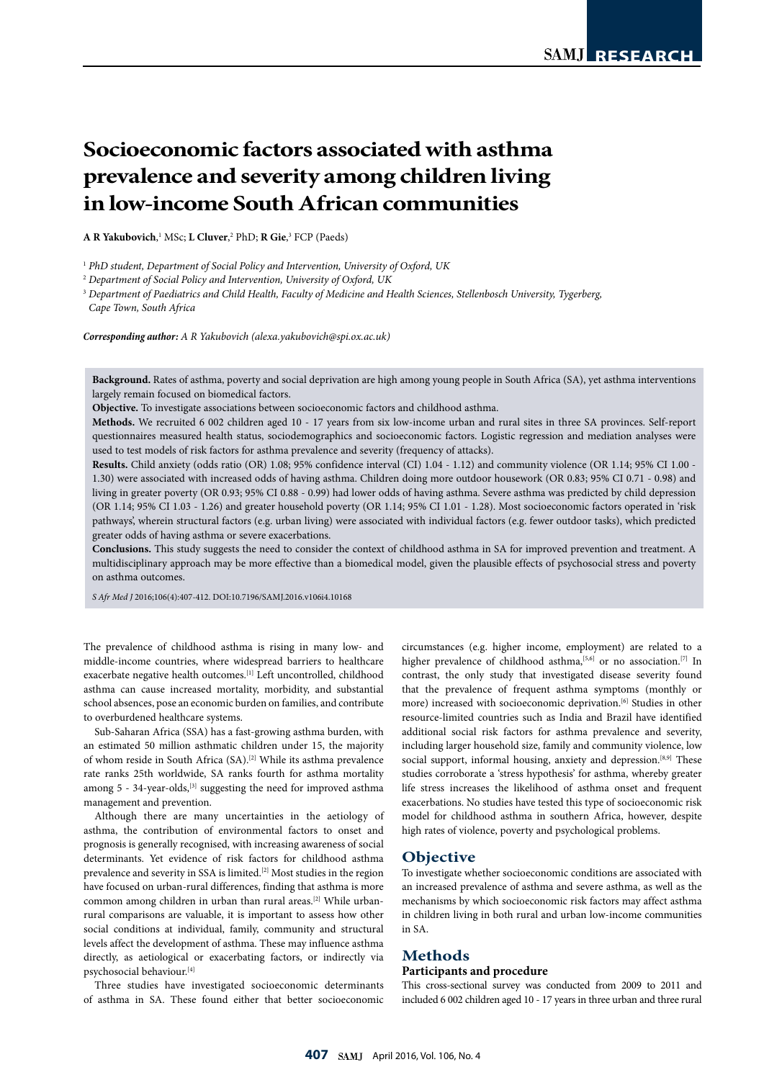# **Socioeconomic factors associated with asthma prevalence and severity among children living in low-income South African communities**

**A R Yakubovich**, 1 MSc; **L Cluver**, 2 PhD; **R Gie**, 3 FCP (Paeds)

<sup>1</sup> *PhD student, Department of Social Policy and Intervention, University of Oxford, UK*

<sup>2</sup> *Department of Social Policy and Intervention, University of Oxford, UK*

<sup>3</sup> *Department of Paediatrics and Child Health, Faculty of Medicine and Health Sciences, Stellenbosch University, Tygerberg, Cape Town, South Africa*

*Corresponding author: A R Yakubovich (alexa.yakubovich@spi.ox.ac.uk)*

**Background.** Rates of asthma, poverty and social deprivation are high among young people in South Africa (SA), yet asthma interventions largely remain focused on biomedical factors.

**Objective.** To investigate associations between socioeconomic factors and childhood asthma.

**Methods.** We recruited 6 002 children aged 10 - 17 years from six low-income urban and rural sites in three SA provinces. Self-report questionnaires measured health status, sociodemographics and socioeconomic factors. Logistic regression and mediation analyses were used to test models of risk factors for asthma prevalence and severity (frequency of attacks).

**Results.** Child anxiety (odds ratio (OR) 1.08; 95% confidence interval (CI) 1.04 - 1.12) and community violence (OR 1.14; 95% CI 1.00 - 1.30) were associated with increased odds of having asthma. Children doing more outdoor housework (OR 0.83; 95% CI 0.71 - 0.98) and living in greater poverty (OR 0.93; 95% CI 0.88 - 0.99) had lower odds of having asthma. Severe asthma was predicted by child depression (OR 1.14; 95% CI 1.03 - 1.26) and greater household poverty (OR 1.14; 95% CI 1.01 - 1.28). Most socioeconomic factors operated in 'risk pathways', wherein structural factors (e.g. urban living) were associated with individual factors (e.g. fewer outdoor tasks), which predicted greater odds of having asthma or severe exacerbations.

**Conclusions.** This study suggests the need to consider the context of childhood asthma in SA for improved prevention and treatment. A multidisciplinary approach may be more effective than a biomedical model, given the plausible effects of psychosocial stress and poverty on asthma outcomes.

*S Afr Med J* 2016;106(4):407-412. DOI:10.7196/SAMJ.2016.v106i4.10168

The prevalence of childhood asthma is rising in many low- and middle-income countries, where widespread barriers to healthcare exacerbate negative health outcomes.[1] Left uncontrolled, childhood asthma can cause increased mortality, morbidity, and substantial school absences, pose an economic burden on families, and contribute to overburdened healthcare systems.

Sub-Saharan Africa (SSA) has a fast-growing asthma burden, with an estimated 50 million asthmatic children under 15, the majority of whom reside in South Africa (SA).<sup>[2]</sup> While its asthma prevalence rate ranks 25th worldwide, SA ranks fourth for asthma mortality among 5 - 34-year-olds,<sup>[3]</sup> suggesting the need for improved asthma management and prevention.

Although there are many uncertainties in the aetiology of asthma, the contribution of environmental factors to onset and prognosis is generally recognised, with increasing awareness of social determinants. Yet evidence of risk factors for childhood asthma prevalence and severity in SSA is limited.[2] Most studies in the region have focused on urban-rural differences, finding that asthma is more common among children in urban than rural areas.[2] While urbanrural comparisons are valuable, it is important to assess how other social conditions at individual, family, community and structural levels affect the development of asthma. These may influence asthma directly, as aetiological or exacerbating factors, or indirectly via psychosocial behaviour.[4]

Three studies have investigated socioeconomic determinants of asthma in SA. These found either that better socioeconomic

circumstances (e.g. higher income, employment) are related to a higher prevalence of childhood asthma,<sup>[5,6]</sup> or no association.<sup>[7]</sup> In contrast, the only study that investigated disease severity found that the prevalence of frequent asthma symptoms (monthly or more) increased with socioeconomic deprivation.<sup>[6]</sup> Studies in other resource-limited countries such as India and Brazil have identified additional social risk factors for asthma prevalence and severity, including larger household size, family and community violence, low social support, informal housing, anxiety and depression.<sup>[8,9]</sup> These studies corroborate a 'stress hypothesis' for asthma, whereby greater life stress increases the likelihood of asthma onset and frequent exacerbations. No studies have tested this type of socioeconomic risk model for childhood asthma in southern Africa, however, despite high rates of violence, poverty and psychological problems.

## **Objective**

To investigate whether socioeconomic conditions are associated with an increased prevalence of asthma and severe asthma, as well as the mechanisms by which socioeconomic risk factors may affect asthma in children living in both rural and urban low-income communities in SA.

## **Methods**

#### **Participants and procedure**

This cross-sectional survey was conducted from 2009 to 2011 and included 6 002 children aged 10 - 17 years in three urban and three rural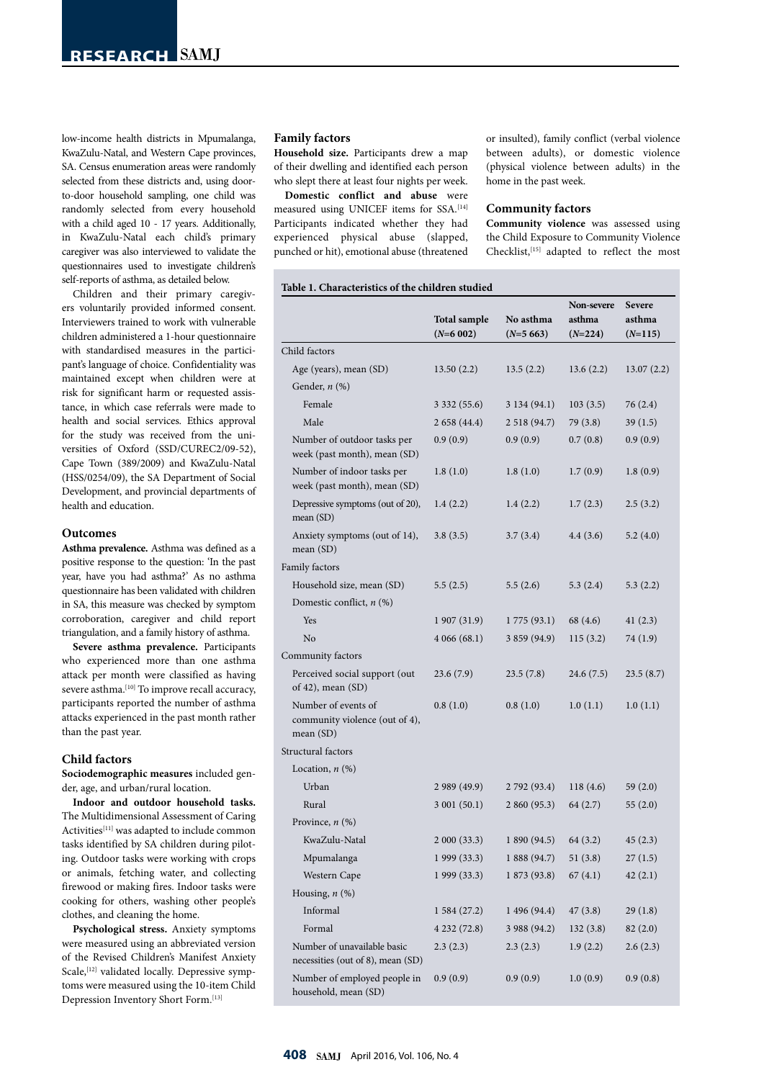low-income health districts in Mpumalanga, KwaZulu-Natal, and Western Cape provinces, SA. Census enumeration areas were randomly selected from these districts and, using doorto-door household sampling, one child was randomly selected from every household with a child aged 10 - 17 years. Additionally, in KwaZulu-Natal each child's primary caregiver was also interviewed to validate the questionnaires used to investigate children's self-reports of asthma, as detailed below.

Children and their primary caregivers voluntarily provided informed consent. Interviewers trained to work with vulnerable children administered a 1-hour questionnaire with standardised measures in the participant's language of choice. Confidentiality was maintained except when children were at risk for significant harm or requested assistance, in which case referrals were made to health and social services. Ethics approval for the study was received from the universities of Oxford (SSD/CUREC2/09-52), Cape Town (389/2009) and KwaZulu-Natal (HSS/0254/09), the SA Department of Social Development, and provincial departments of health and education.

## **Outcomes**

**Asthma prevalence.** Asthma was defined as a positive response to the question: 'In the past year, have you had asthma?' As no asthma questionnaire has been validated with children in SA, this measure was checked by symptom corroboration, caregiver and child report triangulation, and a family history of asthma.

**Severe asthma prevalence.** Participants who experienced more than one asthma attack per month were classified as having severe asthma. $^{[10]}$  To improve recall accuracy, participants reported the number of asthma attacks experienced in the past month rather than the past year.

## **Child factors**

**Sociodemographic measures** included gender, age, and urban/rural location.

**Indoor and outdoor household tasks.** The Multidimensional Assessment of Caring  $\operatorname{Activities}^{[11]}$  was adapted to include common tasks identified by SA children during piloting. Outdoor tasks were working with crops or animals, fetching water, and collecting firewood or making fires. Indoor tasks were cooking for others, washing other people's clothes, and cleaning the home.

**Psychological stress.** Anxiety symptoms were measured using an abbreviated version of the Revised Children's Manifest Anxiety Scale,<sup>[12]</sup> validated locally. Depressive symptoms were measured using the 10-item Child Depression Inventory Short Form. [13]

## **Family factors**

**Household size.** Participants drew a map of their dwelling and identified each person who slept there at least four nights per week.

**Domestic conflict and abuse** were measured using UNICEF items for SSA.<sup>[14]</sup> Participants indicated whether they had experienced physical abuse (slapped, punched or hit), emotional abuse (threatened or insulted), family conflict (verbal violence between adults), or domestic violence (physical violence between adults) in the home in the past week.

## **Community factors**

**Community violence** was assessed using the Child Exposure to Community Violence Checklist,<sup>[15]</sup> adapted to reflect the most

#### **Table 1. Characteristics of the children studied**

|                                                                    |                     |              | Non-severe | <b>Severe</b> |
|--------------------------------------------------------------------|---------------------|--------------|------------|---------------|
|                                                                    | <b>Total sample</b> | No asthma    | asthma     | asthma        |
|                                                                    | $(N=6002)$          | $(N=5 663)$  | $(N=224)$  | $(N=115)$     |
| Child factors                                                      |                     |              |            |               |
| Age (years), mean (SD)                                             | 13.50(2.2)          | 13.5(2.2)    | 13.6(2.2)  | 13.07(2.2)    |
| Gender, n (%)                                                      |                     |              |            |               |
| Female                                                             | 3 332 (55.6)        | 3 134 (94.1) | 103(3.5)   | 76 (2.4)      |
| Male                                                               | 2 658 (44.4)        | 2 518 (94.7) | 79 (3.8)   | 39(1.5)       |
| Number of outdoor tasks per<br>week (past month), mean (SD)        | 0.9(0.9)            | 0.9(0.9)     | 0.7(0.8)   | 0.9(0.9)      |
| Number of indoor tasks per<br>week (past month), mean (SD)         | 1.8(1.0)            | 1.8(1.0)     | 1.7(0.9)   | 1.8(0.9)      |
| Depressive symptoms (out of 20),<br>mean(SD)                       | 1.4(2.2)            | 1.4(2.2)     | 1.7(2.3)   | 2.5(3.2)      |
| Anxiety symptoms (out of 14),<br>mean (SD)                         | 3.8(3.5)            | 3.7(3.4)     | 4.4(3.6)   | 5.2(4.0)      |
| Family factors                                                     |                     |              |            |               |
| Household size, mean (SD)                                          | 5.5(2.5)            | 5.5(2.6)     | 5.3(2.4)   | 5.3(2.2)      |
| Domestic conflict, $n$ (%)                                         |                     |              |            |               |
| Yes                                                                | 1 907 (31.9)        | 1775(93.1)   | 68 (4.6)   | 41(2.3)       |
| N <sub>o</sub>                                                     | 4066(68.1)          | 3 859 (94.9) | 115(3.2)   | 74 (1.9)      |
| Community factors                                                  |                     |              |            |               |
| Perceived social support (out<br>of 42), mean $(SD)$               | 23.6(7.9)           | 23.5(7.8)    | 24.6(7.5)  | 23.5(8.7)     |
| Number of events of<br>community violence (out of 4),<br>mean (SD) | 0.8(1.0)            | 0.8(1.0)     | 1.0(1.1)   | 1.0(1.1)      |
| Structural factors                                                 |                     |              |            |               |
| Location, $n$ $(\%)$                                               |                     |              |            |               |
| Urban                                                              | 2 989 (49.9)        | 2 792 (93.4) | 118(4.6)   | 59 (2.0)      |
| Rural                                                              | 3001(50.1)          | 2 860 (95.3) | 64(2.7)    | 55 $(2.0)$    |
| Province, $n$ (%)                                                  |                     |              |            |               |
| KwaZulu-Natal                                                      | 2000(33.3)          | 1890(94.5)   | 64 (3.2)   | 45 (2.3)      |
| Mpumalanga                                                         | 1 999 (33.3)        | 1 888 (94.7) | 51(3.8)    | 27(1.5)       |
| Western Cape                                                       | 1 999 (33.3)        | 1 873 (93.8) | 67(4.1)    | 42(2.1)       |
| Housing, $n$ $(\%)$                                                |                     |              |            |               |
| Informal                                                           | 1 584 (27.2)        | 1 496 (94.4) | 47(3.8)    | 29(1.8)       |
| Formal                                                             | 4 232 (72.8)        | 3 988 (94.2) | 132(3.8)   | 82(2.0)       |
| Number of unavailable basic<br>necessities (out of 8), mean (SD)   | 2.3(2.3)            | 2.3(2.3)     | 1.9(2.2)   | 2.6(2.3)      |
| Number of employed people in<br>household, mean (SD)               | 0.9(0.9)            | 0.9(0.9)     | 1.0(0.9)   | 0.9(0.8)      |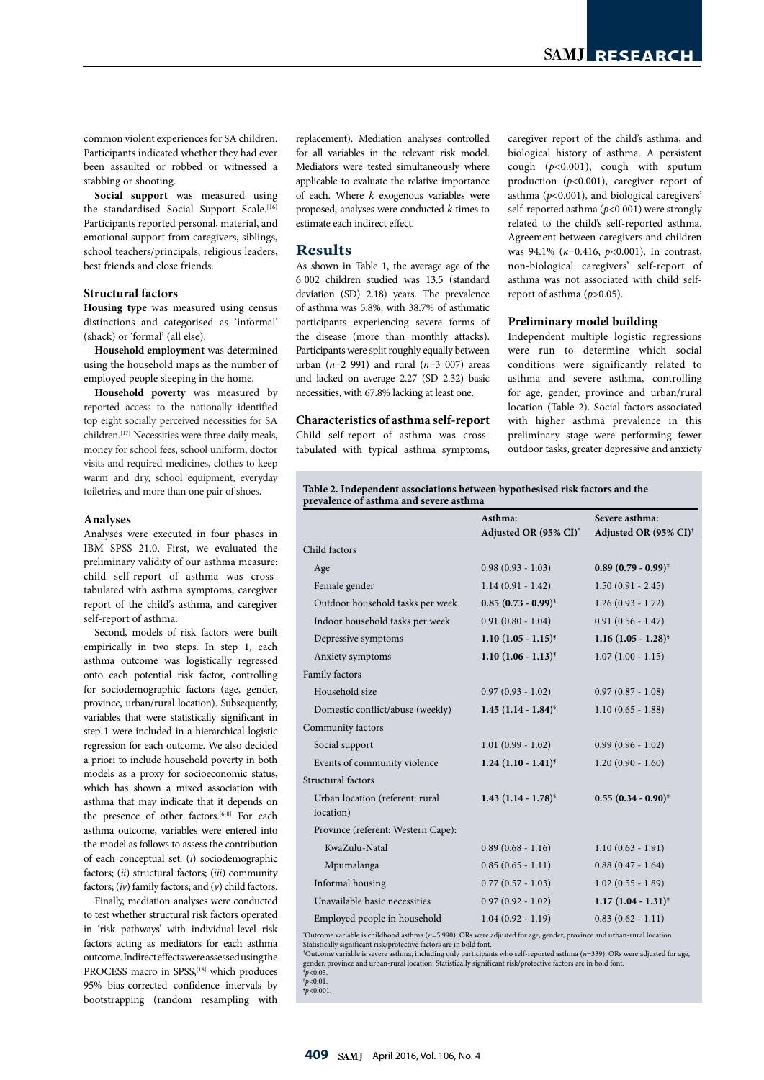common violent experiences for SA children. Participants indicated whether they had ever been assaulted or robbed or witnessed a stabbing or shooting.

**Social support** was measured using the standardised Social Support Scale.<sup>[16]</sup> Participants reported personal, material, and emotional support from caregivers, siblings, school teachers/principals, religious leaders, best friends and close friends.

#### **Structural factors**

**Housing type** was measured using census distinctions and categorised as 'informal' (shack) or 'formal' (all else).

**Household employment** was determined using the household maps as the number of employed people sleeping in the home.

**Household poverty** was measured by reported access to the nationally identified top eight socially perceived necessities for SA children.[17] Necessities were three daily meals, money for school fees, school uniform, doctor visits and required medicines, clothes to keep warm and dry, school equipment, everyday toiletries, and more than one pair of shoes.

### **Analyses**

Analyses were executed in four phases in IBM SPSS 21.0. First, we evaluated the preliminary validity of our asthma measure: child self-report of asthma was crosstabulated with asthma symptoms, caregiver report of the child's asthma, and caregiver self-report of asthma.

Second, models of risk factors were built empirically in two steps. In step 1, each asthma outcome was logistically regressed onto each potential risk factor, controlling for sociodemographic factors (age, gender, province, urban/rural location). Subsequently, variables that were statistically significant in step 1 were included in a hierarchical logistic regression for each outcome. We also decided a priori to include household poverty in both models as a proxy for socioeconomic status, which has shown a mixed association with asthma that may indicate that it depends on the presence of other factors.<sup>[6-8]</sup> For each asthma outcome, variables were entered into the model as follows to assess the contribution of each conceptual set: (*i*) sociodemographic factors; (*ii*) structural factors; (*iii*) community factors; (*iv*) family factors; and (*v*) child factors.

Finally, mediation analyses were conducted to test whether structural risk factors operated in 'risk pathways' with individual-level risk factors acting as mediators for each asthma outcome. Indirect effects were assessed using the PROCESS macro in SPSS,<sup>[18]</sup> which produces 95% bias-corrected confidence intervals by bootstrapping (random resampling with

replacement). Mediation analyses controlled for all variables in the relevant risk model. Mediators were tested simultaneously where applicable to evaluate the relative importance of each. Where *k* exogenous variables were proposed, analyses were conducted *k* times to estimate each indirect effect.

## **Results**

As shown in Table 1, the average age of the 6 002 children studied was 13.5 (standard deviation (SD) 2.18) years. The prevalence of asthma was 5.8%, with 38.7% of asthmatic participants experiencing severe forms of the disease (more than monthly attacks). Participants were split roughly equally between urban (*n*=2 991) and rural (*n*=3 007) areas and lacked on average 2.27 (SD 2.32) basic necessities, with 67.8% lacking at least one.

### **Characteristics of asthma self-report**

Child self-report of asthma was crosstabulated with typical asthma symptoms, caregiver report of the child's asthma, and biological history of asthma. A persistent cough (*p*<0.001), cough with sputum production (*p*<0.001), caregiver report of asthma (*p*<0.001), and biological caregivers' self-reported asthma (*p*<0.001) were strongly related to the child's self-reported asthma. Agreement between caregivers and children was 94.1% (*κ*=0.416, *p*<0.001). In contrast, non-biological caregivers' self-report of asthma was not associated with child selfreport of asthma (*p*>0.05).

## **Preliminary model building**

Independent multiple logistic regressions were run to determine which social conditions were significantly related to asthma and severe asthma, controlling for age, gender, province and urban/rural location (Table 2). Social factors associated with higher asthma prevalence in this preliminary stage were performing fewer outdoor tasks, greater depressive and anxiety

#### **Table 2. Independent associations between hypothesised risk factors and the prevalence of asthma and severe asthma**

|                                              | Asthma:                      | Severe asthma:                    |
|----------------------------------------------|------------------------------|-----------------------------------|
|                                              | Adjusted OR (95% CI)*        | Adjusted OR (95% CI) <sup>†</sup> |
| Child factors                                |                              |                                   |
| Age                                          | $0.98(0.93 - 1.03)$          | $0.89(0.79 - 0.99)^*$             |
| Female gender                                | $1.14(0.91 - 1.42)$          | $1.50(0.91 - 2.45)$               |
| Outdoor household tasks per week             | $0.85(0.73-0.99)^{\ddagger}$ | $1.26(0.93 - 1.72)$               |
| Indoor household tasks per week              | $0.91(0.80 - 1.04)$          | $0.91(0.56 - 1.47)$               |
| Depressive symptoms                          | $1.10(1.05 - 1.15)^5$        | $1.16$ (1.05 - 1.28) <sup>§</sup> |
| Anxiety symptoms                             | $1.10 (1.06 - 1.13)^5$       | $1.07(1.00 - 1.15)$               |
| Family factors                               |                              |                                   |
| Household size                               | $0.97(0.93 - 1.02)$          | $0.97(0.87 - 1.08)$               |
| Domestic conflict/abuse (weekly)             | $1.45 (1.14 - 1.84)^{6}$     | $1.10(0.65 - 1.88)$               |
| Community factors                            |                              |                                   |
| Social support                               | $1.01(0.99 - 1.02)$          | $0.99(0.96 - 1.02)$               |
| Events of community violence                 | $1.24$ $(1.10 - 1.41)^5$     | $1.20(0.90 - 1.60)$               |
| Structural factors                           |                              |                                   |
| Urban location (referent: rural<br>location) | $1.43 (1.14 - 1.78)^{6}$     | $0.55(0.34 - 0.90)^{\ddagger}$    |
| Province (referent: Western Cape):           |                              |                                   |
| KwaZulu-Natal                                | $0.89(0.68 - 1.16)$          | $1.10(0.63 - 1.91)$               |
| Mpumalanga                                   | $0.85(0.65 - 1.11)$          | $0.88$ $(0.47 - 1.64)$            |
| Informal housing                             | $0.77(0.57 - 1.03)$          | $1.02$ (0.55 - 1.89)              |
| Unavailable basic necessities                | $0.97(0.92 - 1.02)$          | $1.17(1.04 - 1.31)^{*}$           |
| Employed people in household                 | $1.04(0.92 - 1.19)$          | $0.83(0.62 - 1.11)$               |

\* Outcome variable is childhood asthma (*n*=5 990). ORs were adjusted for age, gender, province and urban-rural location. Statistically significant risk/protective factors are in bold font.

\*Outcome variable is severe asthma, including only participants who self-reported asthma (n=339). ORs were adjusted for age,<br>gender, province and urban-rural location. Statistically significant risk/protective factors are ‡ *p*<0.05.

§ *p*<0.01. ¶ *p*<0.001.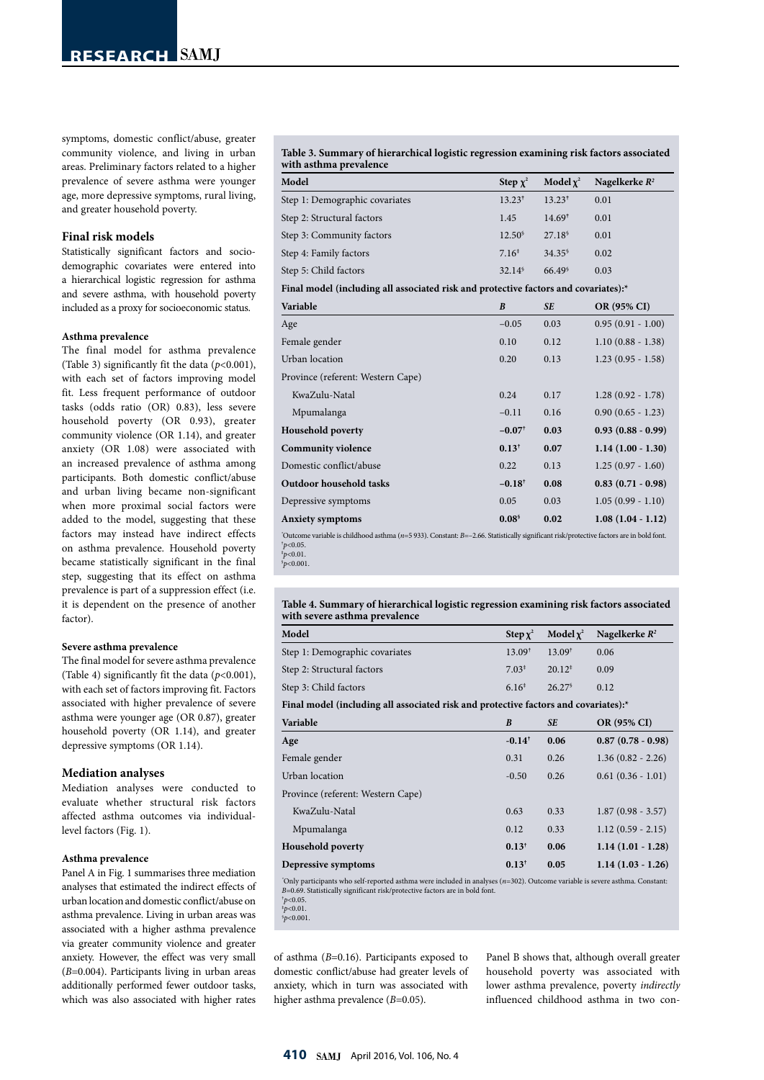symptoms, domestic conflict/abuse, greater community violence, and living in urban areas. Preliminary factors related to a higher prevalence of severe asthma were younger age, more depressive symptoms, rural living, and greater household poverty.

## **Final risk models**

Statistically significant factors and sociodemographic covariates were entered into a hierarchical logistic regression for asthma and severe asthma, with household poverty included as a proxy for socioeconomic status.

#### **Asthma prevalence**

The final model for asthma prevalence (Table 3) significantly fit the data (*p*<0.001), with each set of factors improving model fit. Less frequent performance of outdoor tasks (odds ratio (OR) 0.83), less severe household poverty (OR 0.93), greater community violence (OR 1.14), and greater anxiety (OR 1.08) were associated with an increased prevalence of asthma among participants. Both domestic conflict/abuse and urban living became non-significant when more proximal social factors were added to the model, suggesting that these factors may instead have indirect effects on asthma prevalence. Household poverty became statistically significant in the final step, suggesting that its effect on asthma prevalence is part of a suppression effect (i.e. it is dependent on the presence of another factor).

#### **Severe asthma prevalence**

The final model for severe asthma prevalence (Table 4) significantly fit the data (*p*<0.001), with each set of factors improving fit. Factors associated with higher prevalence of severe asthma were younger age (OR 0.87), greater household poverty (OR 1.14), and greater depressive symptoms (OR 1.14).

#### **Mediation analyses**

Mediation analyses were conducted to evaluate whether structural risk factors affected asthma outcomes via individuallevel factors (Fig. 1).

#### **Asthma prevalence**

Panel A in Fig. 1 summarises three mediation analyses that estimated the indirect effects of urban location and domestic conflict/abuse on asthma prevalence. Living in urban areas was associated with a higher asthma prevalence via greater community violence and greater anxiety. However, the effect was very small (*B*=0.004). Participants living in urban areas additionally performed fewer outdoor tasks, which was also associated with higher rates

**Table 3. Summary of hierarchical logistic regression examining risk factors associated with asthma prevalence**

| Model                                                                                                                                   | Step $\chi^2$        | Model $\chi^2$     | Nagelkerke $R^2$    |
|-----------------------------------------------------------------------------------------------------------------------------------------|----------------------|--------------------|---------------------|
| Step 1: Demographic covariates                                                                                                          | $13.23^+$            | $13.23^+$          | 0.01                |
| Step 2: Structural factors                                                                                                              | 1.45                 | $14.69*$           | 0.01                |
| Step 3: Community factors                                                                                                               | $12.50^{\circ}$      | $27.18^{\circ}$    | 0.01                |
| Step 4: Family factors                                                                                                                  | $7.16*$              | 34.35              | 0.02                |
| Step 5: Child factors                                                                                                                   | $32.14^{\circ}$      | 66.49 <sup>§</sup> | 0.03                |
| Final model (including all associated risk and protective factors and covariates):*                                                     |                      |                    |                     |
| Variable                                                                                                                                | B                    | <b>SE</b>          | OR (95% CI)         |
| Age                                                                                                                                     | $-0.05$              | 0.03               | $0.95(0.91 - 1.00)$ |
| Female gender                                                                                                                           | 0.10                 | 0.12               | $1.10(0.88 - 1.38)$ |
| Urban location                                                                                                                          | 0.20                 | 0.13               | $1.23(0.95 - 1.58)$ |
| Province (referent: Western Cape)                                                                                                       |                      |                    |                     |
| KwaZulu-Natal                                                                                                                           | 0.24                 | 0.17               | $1.28(0.92 - 1.78)$ |
| Mpumalanga                                                                                                                              | $-0.11$              | 0.16               | $0.90(0.65 - 1.23)$ |
| Household poverty                                                                                                                       | $-0.07$ <sup>†</sup> | 0.03               | $0.93(0.88 - 0.99)$ |
| <b>Community violence</b>                                                                                                               | $0.13^+$             | 0.07               | $1.14(1.00 - 1.30)$ |
| Domestic conflict/abuse                                                                                                                 | 0.22                 | 0.13               | $1.25(0.97 - 1.60)$ |
| Outdoor household tasks                                                                                                                 | $-0.18^{\dagger}$    | 0.08               | $0.83(0.71 - 0.98)$ |
| Depressive symptoms                                                                                                                     | 0.05                 | 0.03               | $1.05(0.99 - 1.10)$ |
| <b>Anxiety symptoms</b>                                                                                                                 | $0.08^{\circ}$       | 0.02               | $1.08(1.04 - 1.12)$ |
| 'Outcome variable is childhood asthma (n=5 933). Constant: B=-2.66. Statistically significant risk/protective factors are in bold font. |                      |                    |                     |

Outcome variable is childhood asthma (*n*=5 933). Constant: *<sup>B</sup>*=–2.66. Statistically significant risk/protective factors are in bold font. †  $p_{p}$   $\leq 0.05$ ‡ *p*<0.01.

§ *p*<0.001.

## **Table 4. Summary of hierarchical logistic regression examining risk factors associated with severe asthma prevalence**

| Model                          | Step $\chi^2$     |                   | Model $\chi^2$ Nagelkerke $R^2$ |
|--------------------------------|-------------------|-------------------|---------------------------------|
| Step 1: Demographic covariates | $13.09^{\dagger}$ | $13.09^{\dagger}$ | 0.06                            |
| Step 2: Structural factors     | $7.03^{\ddagger}$ | $20.12^*$         | 0.09                            |
| Step 3: Child factors          | $6.16^{\ddagger}$ | 26.27             | 0.12                            |
| .<br>$-1$<br>.                 |                   |                   |                                 |

**Final model (including all associated risk and protective factors and covariates):\***

| Variable                          | B                    | <b>SE</b> | OR (95% CI)         |
|-----------------------------------|----------------------|-----------|---------------------|
| Age                               | $-0.14$ <sup>†</sup> | 0.06      | $0.87(0.78 - 0.98)$ |
| Female gender                     | 0.31                 | 0.26      | $1.36(0.82 - 2.26)$ |
| Urban location                    | $-0.50$              | 0.26      | $0.61(0.36 - 1.01)$ |
| Province (referent: Western Cape) |                      |           |                     |
| KwaZulu-Natal                     | 0.63                 | 0.33      | $1.87(0.98 - 3.57)$ |
| Mpumalanga                        | 0.12                 | 0.33      | $1.12(0.59 - 2.15)$ |
| <b>Household poverty</b>          | $0.13^{\dagger}$     | 0.06      | $1.14(1.01 - 1.28)$ |
| Depressive symptoms               | $0.13^+$             | 0.05      | $1.14(1.03 - 1.26)$ |

*\** Only participants who self-reported asthma were included in analyses (*n*=302). Outcome variable is severe asthma. Constant: *B*=0.69. Statistically significant risk/protective factors are in bold fon

† *p*<0.05.

‡ *p*<0.01. § *p*<0.001.

of asthma (*B*=0.16). Participants exposed to domestic conflict/abuse had greater levels of anxiety, which in turn was associated with higher asthma prevalence (*B*=0.05).

Panel B shows that, although overall greater household poverty was associated with lower asthma prevalence, poverty *indirectly* influenced childhood asthma in two con-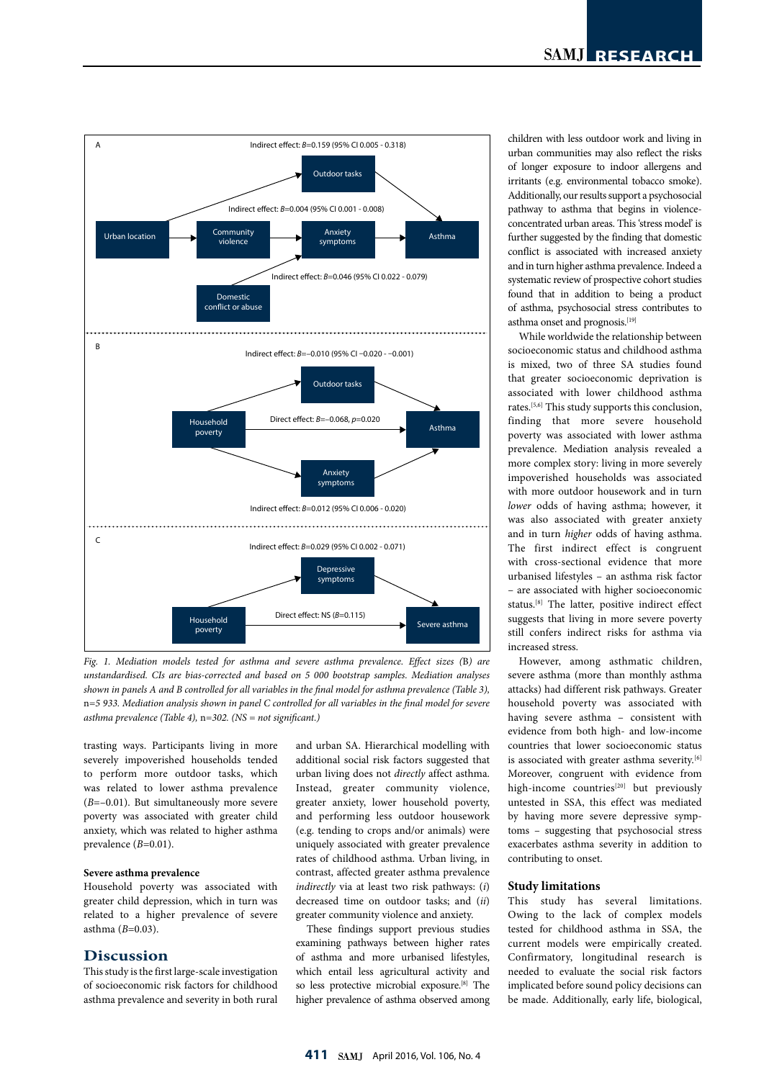

*Fig. 1. Mediation models tested for asthma and severe asthma prevalence. Effect sizes (*B*) are unstandardised. CIs are bias-corrected and based on 5 000 bootstrap samples. Mediation analyses shown in panels A and B controlled for all variables in the final model for asthma prevalence (Table 3),*  n*=5 933. Mediation analysis shown in panel C controlled for all variables in the final model for severe asthma prevalence (Table 4),* n*=302. (NS = not significant.)*

trasting ways. Participants living in more severely impoverished households tended to perform more outdoor tasks, which was related to lower asthma prevalence (*B*=–0.01). But simultaneously more severe poverty was associated with greater child anxiety, which was related to higher asthma prevalence ( $B=0.01$ ).

#### **Severe asthma prevalence**

Household poverty was associated with greater child depression, which in turn was related to a higher prevalence of severe asthma (*B*=0.03).

## **Discussion**

This study is the first large-scale investigation of socioeconomic risk factors for childhood asthma prevalence and severity in both rural

and urban SA. Hierarchical modelling with additional social risk factors suggested that urban living does not *directly* affect asthma. Instead, greater community violence, greater anxiety, lower household poverty, and performing less outdoor housework (e.g. tending to crops and/or animals) were uniquely associated with greater prevalence rates of childhood asthma. Urban living, in contrast, affected greater asthma prevalence *indirectly* via at least two risk pathways: (*i*) decreased time on outdoor tasks; and (*ii*) greater community violence and anxiety.

These findings support previous studies examining pathways between higher rates of asthma and more urbanised lifestyles, which entail less agricultural activity and so less protective microbial exposure.[8] The higher prevalence of asthma observed among children with less outdoor work and living in urban communities may also reflect the risks of longer exposure to indoor allergens and irritants (e.g. environmental tobacco smoke). Additionally, our results support a psychosocial pathway to asthma that begins in violenceconcentrated urban areas. This 'stress model' is further suggested by the finding that domestic conflict is associated with increased anxiety and in turn higher asthma prevalence. Indeed a systematic review of prospective cohort studies found that in addition to being a product of asthma, psychosocial stress contributes to asthma onset and prognosis.<sup>[19]</sup>

While worldwide the relationship between socioeconomic status and childhood asthma is mixed, two of three SA studies found that greater socioeconomic deprivation is associated with lower childhood asthma rates.[5,6] This study supports this conclusion, finding that more severe household poverty was associated with lower asthma prevalence. Mediation analysis revealed a more complex story: living in more severely impoverished households was associated with more outdoor housework and in turn *lower* odds of having asthma; however, it was also associated with greater anxiety and in turn *higher* odds of having asthma. The first indirect effect is congruent with cross-sectional evidence that more urbanised lifestyles – an asthma risk factor – are associated with higher socioeconomic status.[8] The latter, positive indirect effect suggests that living in more severe poverty still confers indirect risks for asthma via increased stress.

However, among asthmatic children, severe asthma (more than monthly asthma attacks) had different risk pathways. Greater household poverty was associated with having severe asthma – consistent with evidence from both high- and low-income countries that lower socioeconomic status is associated with greater asthma severity.<sup>[6]</sup> Moreover, congruent with evidence from high-income countries<sup>[20]</sup> but previously untested in SSA, this effect was mediated by having more severe depressive symptoms – suggesting that psychosocial stress exacerbates asthma severity in addition to contributing to onset.

#### **Study limitations**

This study has several limitations. Owing to the lack of complex models tested for childhood asthma in SSA, the current models were empirically created. Confirmatory, longitudinal research is needed to evaluate the social risk factors implicated before sound policy decisions can be made. Additionally, early life, biological,